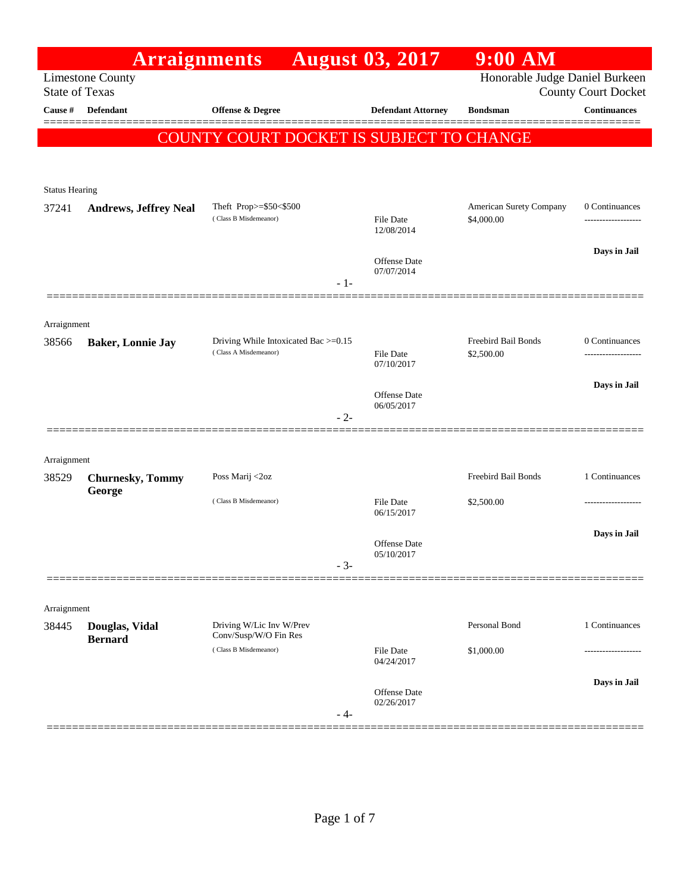|                       | <b>Arraignments</b>              |                                                               | <b>August 03, 2017</b>            | $9:00$ AM                             |                            |
|-----------------------|----------------------------------|---------------------------------------------------------------|-----------------------------------|---------------------------------------|----------------------------|
| <b>State of Texas</b> | <b>Limestone County</b>          |                                                               |                                   | Honorable Judge Daniel Burkeen        | <b>County Court Docket</b> |
| Cause #               | Defendant                        | Offense & Degree                                              | <b>Defendant Attorney</b>         | <b>Bondsman</b>                       | <b>Continuances</b>        |
|                       |                                  | COUNTY COURT DOCKET IS SUBJECT TO CHANGE                      |                                   |                                       | =======                    |
|                       |                                  |                                                               |                                   |                                       |                            |
|                       |                                  |                                                               |                                   |                                       |                            |
| <b>Status Hearing</b> |                                  |                                                               |                                   |                                       |                            |
| 37241                 | <b>Andrews, Jeffrey Neal</b>     | Theft Prop>=\$50<\$500<br>(Class B Misdemeanor)               | <b>File Date</b><br>12/08/2014    | American Surety Company<br>\$4,000.00 | 0 Continuances<br>.        |
|                       |                                  |                                                               | <b>Offense Date</b>               |                                       | Days in Jail               |
|                       |                                  | - 1-                                                          | 07/07/2014                        |                                       |                            |
|                       |                                  |                                                               |                                   |                                       |                            |
| Arraignment           |                                  |                                                               |                                   | Freebird Bail Bonds                   | 0 Continuances             |
| 38566                 | <b>Baker, Lonnie Jay</b>         | Driving While Intoxicated Bac >=0.15<br>(Class A Misdemeanor) | <b>File Date</b>                  | \$2,500.00                            | ------------------         |
|                       |                                  |                                                               | 07/10/2017                        |                                       | Days in Jail               |
|                       |                                  |                                                               | <b>Offense</b> Date<br>06/05/2017 |                                       |                            |
|                       |                                  | $-2-$                                                         |                                   |                                       |                            |
|                       |                                  |                                                               |                                   |                                       |                            |
| Arraignment<br>38529  | <b>Churnesky, Tommy</b>          | Poss Marij <2oz                                               |                                   | Freebird Bail Bonds                   | 1 Continuances             |
|                       | George                           | (Class B Misdemeanor)                                         | <b>File Date</b>                  |                                       | -----------------          |
|                       |                                  |                                                               | 06/15/2017                        | \$2,500.00                            |                            |
|                       |                                  |                                                               | <b>Offense Date</b>               |                                       | Days in Jail               |
|                       |                                  | $-3-$                                                         | 05/10/2017                        |                                       |                            |
|                       |                                  |                                                               |                                   |                                       |                            |
| Arraignment           |                                  |                                                               |                                   |                                       |                            |
| 38445                 | Douglas, Vidal<br><b>Bernard</b> | Driving W/Lic Inv W/Prev<br>Conv/Susp/W/O Fin Res             |                                   | Personal Bond                         | 1 Continuances             |
|                       |                                  | (Class B Misdemeanor)                                         | File Date<br>04/24/2017           | \$1,000.00                            |                            |
|                       |                                  |                                                               |                                   |                                       | Days in Jail               |
|                       |                                  |                                                               | <b>Offense Date</b><br>02/26/2017 |                                       |                            |
|                       |                                  | - 4-                                                          |                                   |                                       |                            |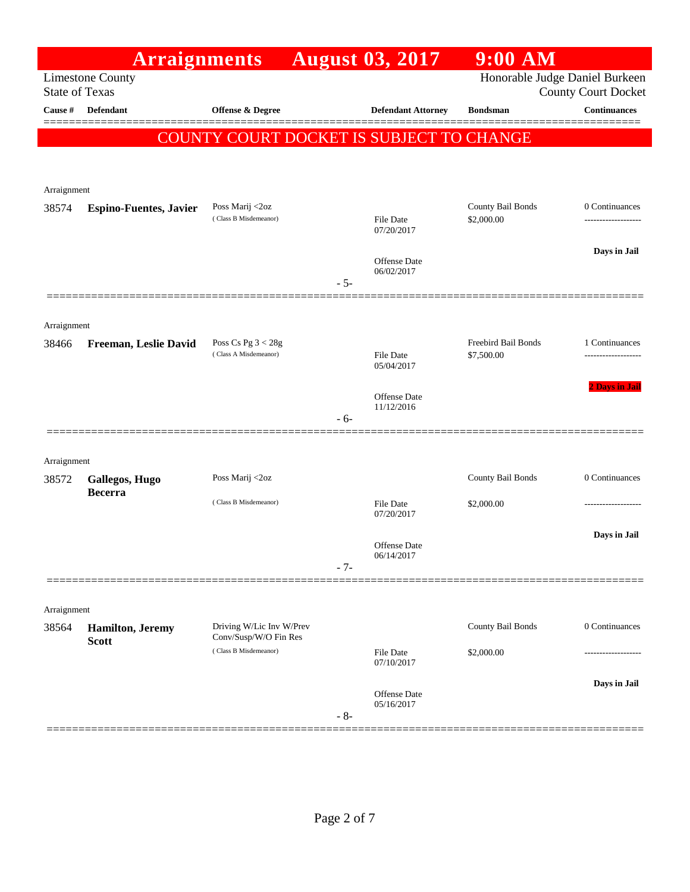|                       | <b>Arraignments</b>              |                                                   |       | <b>August 03, 2017</b>                   | $9:00$ AM                       |                                    |
|-----------------------|----------------------------------|---------------------------------------------------|-------|------------------------------------------|---------------------------------|------------------------------------|
| <b>State of Texas</b> | <b>Limestone County</b>          |                                                   |       |                                          | Honorable Judge Daniel Burkeen  | <b>County Court Docket</b>         |
| Cause #               | <b>Defendant</b>                 | <b>Offense &amp; Degree</b>                       |       | <b>Defendant Attorney</b>                | <b>Bondsman</b>                 | <b>Continuances</b>                |
|                       |                                  |                                                   |       | COUNTY COURT DOCKET IS SUBJECT TO CHANGE |                                 |                                    |
|                       |                                  |                                                   |       |                                          |                                 |                                    |
| Arraignment           |                                  |                                                   |       |                                          |                                 |                                    |
| 38574                 | <b>Espino-Fuentes, Javier</b>    | Poss Marij <2oz<br>(Class B Misdemeanor)          |       | <b>File Date</b>                         | County Bail Bonds<br>\$2,000.00 | 0 Continuances<br>---------------- |
|                       |                                  |                                                   |       | 07/20/2017                               |                                 |                                    |
|                       |                                  |                                                   |       | Offense Date                             |                                 | Days in Jail                       |
|                       |                                  |                                                   | $-5-$ | 06/02/2017                               |                                 |                                    |
|                       |                                  |                                                   |       |                                          |                                 |                                    |
| Arraignment<br>38466  | Freeman, Leslie David            | Poss Cs Pg $3 < 28g$                              |       |                                          | Freebird Bail Bonds             | 1 Continuances                     |
|                       |                                  | (Class A Misdemeanor)                             |       | <b>File Date</b><br>05/04/2017           | \$7,500.00                      |                                    |
|                       |                                  |                                                   |       |                                          |                                 | 2 Days in Jail                     |
|                       |                                  |                                                   | - 6-  | <b>Offense Date</b><br>11/12/2016        |                                 |                                    |
|                       |                                  |                                                   |       |                                          |                                 |                                    |
| Arraignment           |                                  |                                                   |       |                                          |                                 |                                    |
| 38572                 | Gallegos, Hugo<br><b>Becerra</b> | Poss Marij <2oz                                   |       |                                          | County Bail Bonds               | 0 Continuances                     |
|                       |                                  | (Class B Misdemeanor)                             |       | <b>File Date</b><br>07/20/2017           | \$2,000.00                      |                                    |
|                       |                                  |                                                   |       |                                          |                                 | Days in Jail                       |
|                       |                                  |                                                   |       | Offense Date<br>06/14/2017               |                                 |                                    |
|                       |                                  |                                                   | $-7-$ |                                          |                                 |                                    |
| Arraignment           |                                  |                                                   |       |                                          |                                 |                                    |
| 38564                 | <b>Hamilton</b> , Jeremy         | Driving W/Lic Inv W/Prev<br>Conv/Susp/W/O Fin Res |       |                                          | County Bail Bonds               | 0 Continuances                     |
|                       | <b>Scott</b>                     | (Class B Misdemeanor)                             |       | <b>File Date</b><br>07/10/2017           | \$2,000.00                      |                                    |
|                       |                                  |                                                   |       |                                          |                                 | Days in Jail                       |
|                       |                                  |                                                   |       | Offense Date<br>05/16/2017               |                                 |                                    |
|                       |                                  |                                                   | $-8-$ |                                          |                                 |                                    |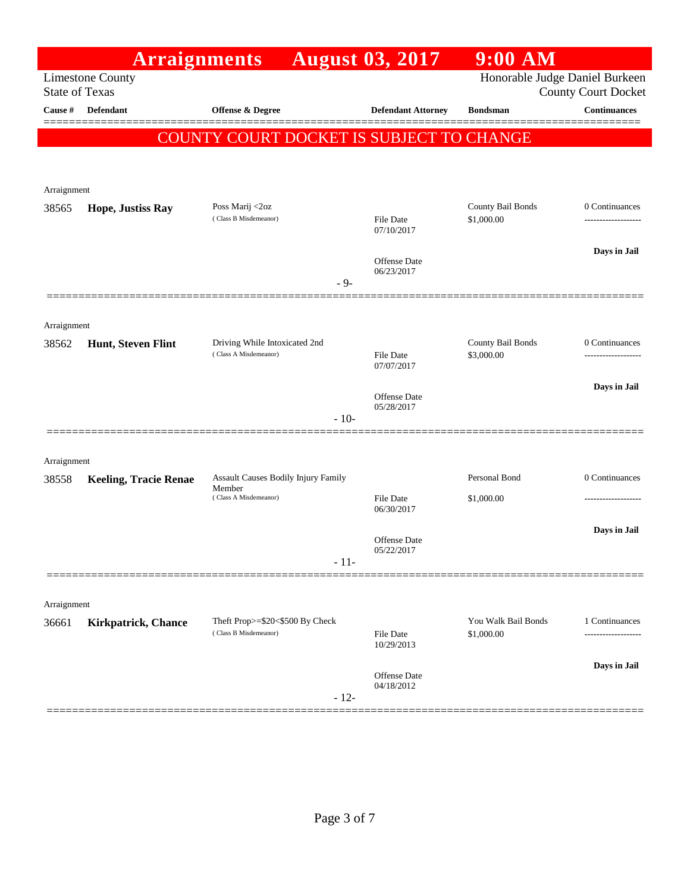|                       | <b>Arraignments</b>          |                                                          | <b>August 03, 2017</b>         | $9:00$ AM                         |                                    |
|-----------------------|------------------------------|----------------------------------------------------------|--------------------------------|-----------------------------------|------------------------------------|
| <b>State of Texas</b> | <b>Limestone County</b>      |                                                          |                                | Honorable Judge Daniel Burkeen    | <b>County Court Docket</b>         |
| Cause #               | Defendant                    | <b>Offense &amp; Degree</b>                              | <b>Defendant Attorney</b>      | <b>Bondsman</b>                   | <b>Continuances</b>                |
|                       |                              | COUNTY COURT DOCKET IS SUBJECT TO CHANGE                 |                                |                                   |                                    |
|                       |                              |                                                          |                                |                                   |                                    |
|                       |                              |                                                          |                                |                                   |                                    |
| Arraignment           |                              |                                                          |                                |                                   |                                    |
| 38565                 | Hope, Justiss Ray            | Poss Marij <2oz<br>(Class B Misdemeanor)                 | File Date                      | County Bail Bonds<br>\$1,000.00   | 0 Continuances<br>---------------- |
|                       |                              |                                                          | 07/10/2017                     |                                   |                                    |
|                       |                              |                                                          | Offense Date                   |                                   | Days in Jail                       |
|                       |                              | $-9-$                                                    | 06/23/2017                     |                                   |                                    |
|                       |                              |                                                          |                                |                                   |                                    |
| Arraignment           |                              |                                                          |                                |                                   |                                    |
| 38562                 | Hunt, Steven Flint           | Driving While Intoxicated 2nd                            |                                | County Bail Bonds                 | 0 Continuances                     |
|                       |                              | (Class A Misdemeanor)                                    | File Date<br>07/07/2017        | \$3,000.00                        |                                    |
|                       |                              |                                                          |                                |                                   | Days in Jail                       |
|                       |                              |                                                          | Offense Date<br>05/28/2017     |                                   |                                    |
|                       |                              | $-10-$                                                   |                                |                                   |                                    |
|                       |                              |                                                          |                                |                                   |                                    |
| Arraignment           |                              |                                                          |                                |                                   |                                    |
| 38558                 | <b>Keeling, Tracie Renae</b> | Assault Causes Bodily Injury Family<br>Member            |                                | Personal Bond                     | 0 Continuances                     |
|                       |                              | (Class A Misdemeanor)                                    | <b>File Date</b><br>06/30/2017 | \$1,000.00                        |                                    |
|                       |                              |                                                          |                                |                                   | Days in Jail                       |
|                       |                              |                                                          | Offense Date<br>05/22/2017     |                                   |                                    |
|                       |                              | $-11-$                                                   |                                |                                   |                                    |
|                       |                              |                                                          |                                |                                   |                                    |
| Arraignment           |                              |                                                          |                                |                                   |                                    |
| 36661                 | <b>Kirkpatrick, Chance</b>   | Theft Prop>=\$20<\$500 By Check<br>(Class B Misdemeanor) | File Date                      | You Walk Bail Bonds<br>\$1,000.00 | 1 Continuances                     |
|                       |                              |                                                          | 10/29/2013                     |                                   |                                    |
|                       |                              |                                                          | <b>Offense Date</b>            |                                   | Days in Jail                       |
|                       |                              | $-12-$                                                   | 04/18/2012                     |                                   |                                    |
|                       |                              |                                                          |                                |                                   |                                    |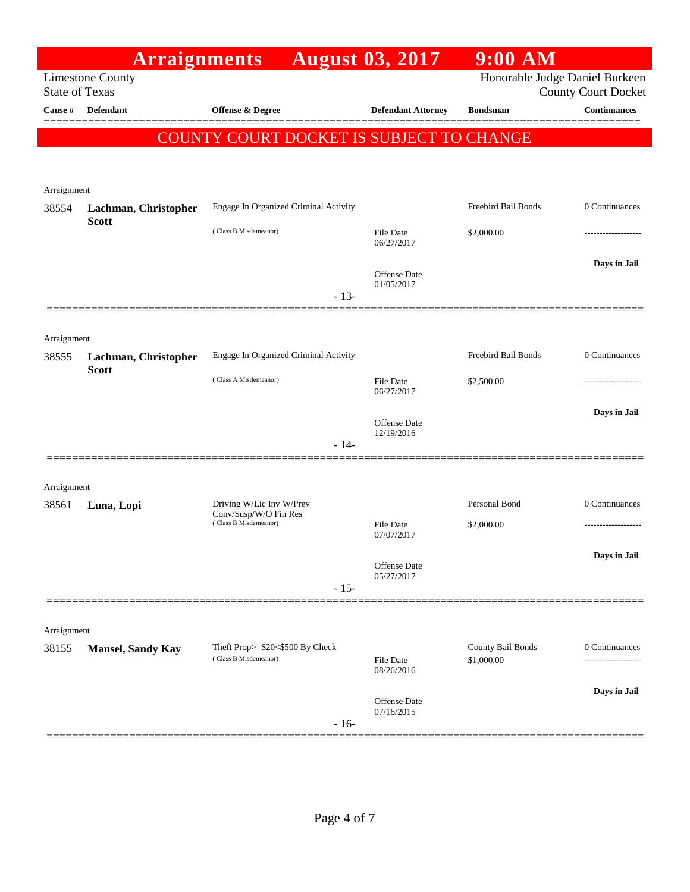|                       | <b>Arraignments</b>      |                                                          | <b>August 03, 2017</b>            | $9:00$ AM                       |                                      |
|-----------------------|--------------------------|----------------------------------------------------------|-----------------------------------|---------------------------------|--------------------------------------|
| <b>State of Texas</b> | <b>Limestone County</b>  |                                                          |                                   | Honorable Judge Daniel Burkeen  | <b>County Court Docket</b>           |
| Cause #               | <b>Defendant</b>         | <b>Offense &amp; Degree</b>                              | <b>Defendant Attorney</b>         | <b>Bondsman</b>                 | <b>Continuances</b>                  |
|                       |                          | COUNTY COURT DOCKET IS SUBJECT TO CHANGE                 |                                   |                                 |                                      |
|                       |                          |                                                          |                                   |                                 |                                      |
|                       |                          |                                                          |                                   |                                 |                                      |
| Arraignment<br>38554  | Lachman, Christopher     | Engage In Organized Criminal Activity                    |                                   | Freebird Bail Bonds             | 0 Continuances                       |
|                       | <b>Scott</b>             |                                                          |                                   |                                 |                                      |
|                       |                          | (Class B Misdemeanor)                                    | <b>File Date</b><br>06/27/2017    | \$2,000.00                      | ------------------                   |
|                       |                          |                                                          |                                   |                                 | Days in Jail                         |
|                       |                          |                                                          | <b>Offense Date</b><br>01/05/2017 |                                 |                                      |
|                       |                          | $-13-$                                                   |                                   |                                 |                                      |
|                       |                          |                                                          |                                   |                                 |                                      |
| Arraignment<br>38555  | Lachman, Christopher     | Engage In Organized Criminal Activity                    |                                   | Freebird Bail Bonds             | 0 Continuances                       |
|                       | <b>Scott</b>             | (Class A Misdemeanor)                                    |                                   |                                 |                                      |
|                       |                          |                                                          | <b>File Date</b><br>06/27/2017    | \$2,500.00                      | .                                    |
|                       |                          |                                                          | <b>Offense Date</b>               |                                 | Days in Jail                         |
|                       |                          | $-14-$                                                   | 12/19/2016                        |                                 |                                      |
|                       |                          |                                                          |                                   |                                 |                                      |
| Arraignment           |                          |                                                          |                                   |                                 |                                      |
| 38561                 | Luna, Lopi               | Driving W/Lic Inv W/Prev                                 |                                   | Personal Bond                   | 0 Continuances                       |
|                       |                          | Conv/Susp/W/O Fin Res<br>(Class B Misdemeanor)           | <b>File Date</b>                  | \$2,000.00                      |                                      |
|                       |                          |                                                          | 07/07/2017                        |                                 |                                      |
|                       |                          |                                                          | Offense Date                      |                                 | Days in Jail                         |
|                       |                          | $-15-$                                                   | 05/27/2017                        |                                 |                                      |
|                       |                          |                                                          |                                   |                                 |                                      |
| Arraignment           |                          |                                                          |                                   |                                 |                                      |
| 38155                 | <b>Mansel, Sandy Kay</b> | Theft Prop>=\$20<\$500 By Check<br>(Class B Misdemeanor) | File Date                         | County Bail Bonds<br>\$1,000.00 | 0 Continuances<br>------------------ |
|                       |                          |                                                          | 08/26/2016                        |                                 |                                      |
|                       |                          |                                                          | <b>Offense Date</b>               |                                 | Days in Jail                         |
|                       |                          | $-16-$                                                   | 07/16/2015                        |                                 |                                      |
|                       |                          |                                                          |                                   |                                 |                                      |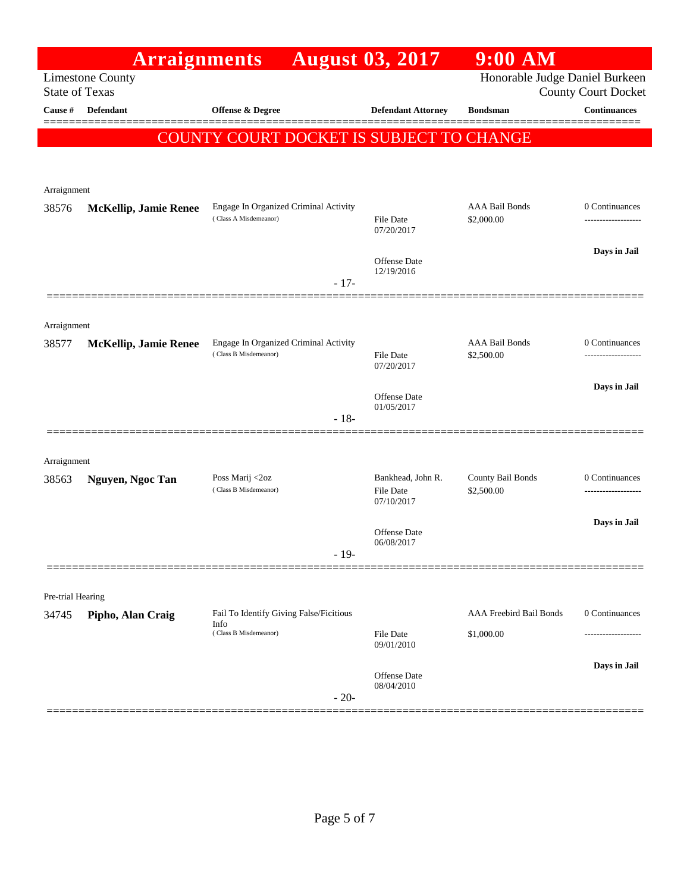|                       | <b>Arraignments</b>          |                                                                          | <b>August 03, 2017</b>         | $9:00$ AM                           |                                    |
|-----------------------|------------------------------|--------------------------------------------------------------------------|--------------------------------|-------------------------------------|------------------------------------|
| <b>State of Texas</b> | <b>Limestone County</b>      |                                                                          |                                | Honorable Judge Daniel Burkeen      | <b>County Court Docket</b>         |
| Cause #               | Defendant                    | Offense & Degree                                                         | <b>Defendant Attorney</b>      | <b>Bondsman</b>                     | <b>Continuances</b>                |
|                       |                              | COUNTY COURT DOCKET IS SUBJECT TO CHANGE                                 |                                |                                     | ======                             |
|                       |                              |                                                                          |                                |                                     |                                    |
|                       |                              |                                                                          |                                |                                     |                                    |
| Arraignment           |                              |                                                                          |                                |                                     |                                    |
| 38576                 | <b>McKellip, Jamie Renee</b> | Engage In Organized Criminal Activity<br>(Class A Misdemeanor)           | File Date                      | <b>AAA Bail Bonds</b><br>\$2,000.00 | 0 Continuances<br>---------------- |
|                       |                              |                                                                          | 07/20/2017                     |                                     |                                    |
|                       |                              |                                                                          | Offense Date                   |                                     | Days in Jail                       |
|                       |                              | $-17-$                                                                   | 12/19/2016                     |                                     |                                    |
|                       |                              |                                                                          |                                |                                     |                                    |
| Arraignment           |                              |                                                                          |                                |                                     |                                    |
| 38577                 | <b>McKellip, Jamie Renee</b> | Engage In Organized Criminal Activity                                    |                                | <b>AAA Bail Bonds</b>               | 0 Continuances                     |
|                       |                              | (Class B Misdemeanor)                                                    | File Date<br>07/20/2017        | \$2,500.00                          | ---------------                    |
|                       |                              |                                                                          |                                |                                     | Days in Jail                       |
|                       |                              |                                                                          | Offense Date<br>01/05/2017     |                                     |                                    |
|                       |                              | $-18-$                                                                   |                                |                                     |                                    |
| Arraignment           |                              |                                                                          |                                |                                     |                                    |
| 38563                 | Nguyen, Ngoc Tan             | Poss Marij <2oz                                                          | Bankhead, John R.              | County Bail Bonds                   | 0 Continuances                     |
|                       |                              | (Class B Misdemeanor)                                                    | File Date<br>07/10/2017        | \$2,500.00                          |                                    |
|                       |                              |                                                                          |                                |                                     | Days in Jail                       |
|                       |                              |                                                                          | Offense Date<br>06/08/2017     |                                     |                                    |
|                       |                              | $-19-$                                                                   |                                |                                     |                                    |
|                       |                              |                                                                          |                                |                                     |                                    |
| Pre-trial Hearing     |                              |                                                                          |                                |                                     |                                    |
| 34745                 | Pipho, Alan Craig            | Fail To Identify Giving False/Ficitious<br>Info<br>(Class B Misdemeanor) |                                | AAA Freebird Bail Bonds             | 0 Continuances                     |
|                       |                              |                                                                          | <b>File Date</b><br>09/01/2010 | \$1,000.00                          |                                    |
|                       |                              |                                                                          |                                |                                     | Days in Jail                       |
|                       |                              |                                                                          | Offense Date<br>08/04/2010     |                                     |                                    |
|                       |                              | $-20-$                                                                   |                                |                                     |                                    |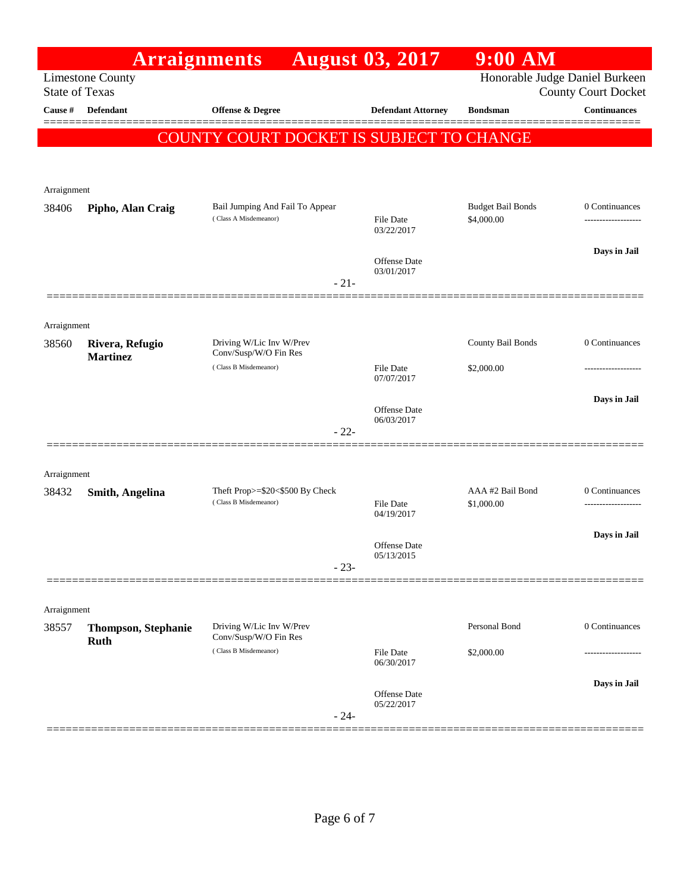|                       | <b>Arraignments</b>        |                                                          | <b>August 03, 2017</b>            | $9:00$ AM                              |                                    |
|-----------------------|----------------------------|----------------------------------------------------------|-----------------------------------|----------------------------------------|------------------------------------|
| <b>State of Texas</b> | <b>Limestone County</b>    |                                                          |                                   | Honorable Judge Daniel Burkeen         | <b>County Court Docket</b>         |
| Cause #               | <b>Defendant</b>           | Offense & Degree                                         | <b>Defendant Attorney</b>         | <b>Bondsman</b>                        | <b>Continuances</b>                |
|                       |                            | COUNTY COURT DOCKET IS SUBJECT TO CHANGE                 |                                   |                                        |                                    |
|                       |                            |                                                          |                                   |                                        |                                    |
| Arraignment           |                            |                                                          |                                   |                                        |                                    |
| 38406                 | Pipho, Alan Craig          | Bail Jumping And Fail To Appear<br>(Class A Misdemeanor) | File Date                         | <b>Budget Bail Bonds</b><br>\$4,000.00 | 0 Continuances                     |
|                       |                            |                                                          | 03/22/2017                        |                                        |                                    |
|                       |                            |                                                          | <b>Offense</b> Date<br>03/01/2017 |                                        | Days in Jail                       |
|                       |                            | $-21-$                                                   |                                   |                                        |                                    |
| Arraignment           |                            |                                                          |                                   |                                        |                                    |
| 38560                 | Rivera, Refugio            | Driving W/Lic Inv W/Prev                                 |                                   | County Bail Bonds                      | 0 Continuances                     |
|                       | <b>Martinez</b>            | Conv/Susp/W/O Fin Res<br>(Class B Misdemeanor)           | File Date<br>07/07/2017           | \$2,000.00                             |                                    |
|                       |                            |                                                          |                                   |                                        | Days in Jail                       |
|                       |                            |                                                          | <b>Offense</b> Date<br>06/03/2017 |                                        |                                    |
|                       |                            | $-22-$                                                   |                                   |                                        |                                    |
| Arraignment           |                            |                                                          |                                   |                                        |                                    |
| 38432                 | Smith, Angelina            | Theft Prop>=\$20<\$500 By Check<br>(Class B Misdemeanor) | <b>File Date</b>                  | AAA #2 Bail Bond<br>\$1,000.00         | 0 Continuances<br>---------------- |
|                       |                            |                                                          | 04/19/2017                        |                                        |                                    |
|                       |                            |                                                          | Offense Date<br>05/13/2015        |                                        | Days in Jail                       |
|                       |                            | $-23-$                                                   |                                   |                                        |                                    |
|                       |                            |                                                          |                                   |                                        |                                    |
| Arraignment<br>38557  | <b>Thompson, Stephanie</b> | Driving W/Lic Inv W/Prev                                 |                                   | Personal Bond                          | 0 Continuances                     |
|                       | <b>Ruth</b>                | Conv/Susp/W/O Fin Res<br>(Class B Misdemeanor)           | <b>File Date</b>                  | \$2,000.00                             |                                    |
|                       |                            |                                                          | 06/30/2017                        |                                        |                                    |
|                       |                            | $-24-$                                                   | Offense Date<br>05/22/2017        |                                        | Days in Jail                       |
|                       |                            |                                                          |                                   |                                        |                                    |